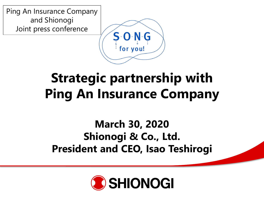Ping An Insurance Company and Shionogi Joint press conference



# **Strategic partnership with Ping An Insurance Company**

### **March 30, 2020 Shionogi & Co., Ltd. President and CEO, Isao Teshirogi**

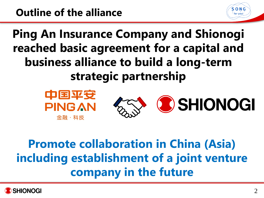**Ping An Insurance Company and Shionogi reached basic agreement for a capital and business alliance to build a long-term strategic partnership**



# **Promote collaboration in China (Asia) including establishment of a joint venture company in the future**



S-O-N-G for vou!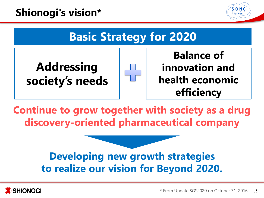### **Shionogi's vision\***





**Continue to grow together with society as a drug discovery-oriented pharmaceutical company**

### **Developing new growth strategies to realize our vision for Beyond 2020.**

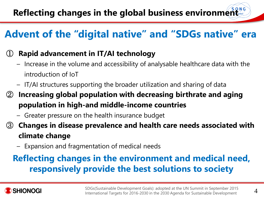### **Advent of the "digital native" and "SDGs native" era**

### ① **Rapid advancement in IT/AI technology**

- Increase in the volume and accessibility of analysable healthcare data with the introduction of IoT
- IT/AI structures supporting the broader utilization and sharing of data
- ② **Increasing global population with decreasing birthrate and aging population in high-and middle-income countries**
	- Greater pressure on the health insurance budget
- ③ **Changes in disease prevalence and health care needs associated with climate change**
	- Expansion and fragmentation of medical needs

### **Reflecting changes in the environment and medical need, responsively provide the best solutions to society**

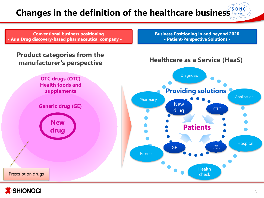#### $S$ - $O$ - $N$ - $G$ **Changes in the definition of the healthcare business For your**

**Conventional business positioning - As a Drug discovery-based pharmaceutical company -**

#### **Product categories from the manufacturer's perspective**

**OTC drugs (OTC) Health foods and supplements**

**Generic drug (GE)**

**New drug** **Business Positioning in and beyond 2020 - Patient-Perspective Solutions -**

#### **Healthcare as a Service (HaaS)**





Prescription drugs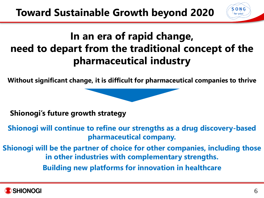## **In an era of rapid change, need to depart from the traditional concept of the pharmaceutical industry**

**Without significant change, it is difficult for pharmaceutical companies to thrive**

**Shionogi's future growth strategy**

**Shionogi will continue to refine our strengths as a drug discovery-based pharmaceutical company.**

**Shionogi will be the partner of choice for other companies, including those in other industries with complementary strengths.**

**Building new platforms for innovation in healthcare**



S-O-N-G for vou!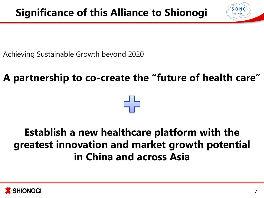Achieving Sustainable Growth beyond 2020

## **A partnership to co-create the "future of health care"**

### **Establish a new healthcare platform with the greatest innovation and market growth potential in China and across Asia**



S-O-N-G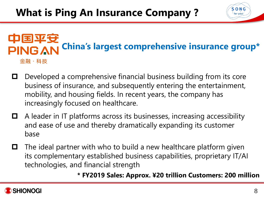#### 中国平安 **China's largest comprehensive insurance group\*PING AN** 金融・科技

- Developed a comprehensive financial business building from its core business of insurance, and subsequently entering the entertainment, mobility, and housing fields. In recent years, the company has increasingly focused on healthcare.
- A leader in IT platforms across its businesses, increasing accessibility and ease of use and thereby dramatically expanding its customer base
- $\Box$  The ideal partner with who to build a new healthcare platform given its complementary established business capabilities, proprietary IT/AI technologies, and financial strength

#### **\* FY2019 Sales: Approx. ¥20 trillion Customers: 200 million**



 $S$   $O$   $N$   $G$ for you!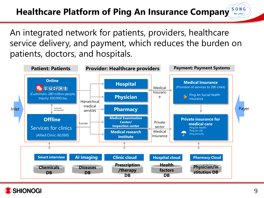#### **Healthcare Platform of Ping An Insurance Company**   $\frac{1}{2}$  for you!

An integrated network for patients, providers, healthcare service delivery, and payment, which reduces the burden on patients, doctors, and hospitals.



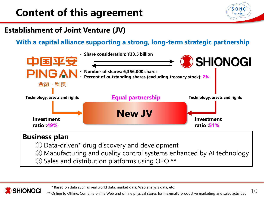## **Content of this agreement**



### **Establishment of Joint Venture (JV)**

#### **With a capital alliance supporting a strong, long-term strategic partnership**



### **Business plan**

SHIONOGI

- ① Data-driven\* drug discovery and development
- ② Manufacturing and quality control systems enhanced by AI technology
- ③ Sales and distribution platforms using O2O \*\*

\* Based on data such as real world data, market data, Web analysis data, etc.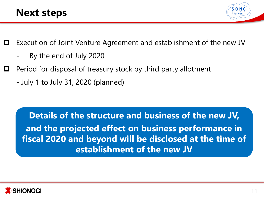

- Execution of Joint Venture Agreement and establishment of the new JV
	- By the end of July 2020
- Period for disposal of treasury stock by third party allotment
	- July 1 to July 31, 2020 (planned)

**Details of the structure and business of the new JV, and the projected effect on business performance in fiscal 2020 and beyond will be disclosed at the time of establishment of the new JV**

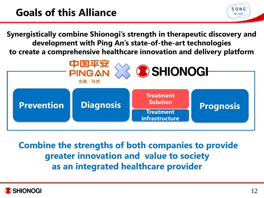**Synergistically combine Shionogi's strength in therapeutic discovery and development with Ping An's state-of-the-art technologies to create a comprehensive healthcare innovation and delivery platform**



**Combine the strengths of both companies to provide greater innovation and value to society as an integrated healthcare provider**



S-O-N-G for you!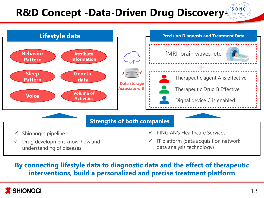#### $S$ - $O$ - $N$ - $G$ **R&D Concept -Data-Driven Drug Discovery**for you!



#### **By connecting lifestyle data to diagnostic data and the effect of therapeutic interventions, build a personalized and precise treatment platform**

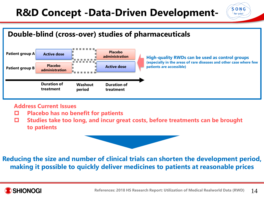## **R&D Concept -Data-Driven Development-**

### **Double-blind (cross-over) studies of pharmaceuticals**



#### **Address Current Issues**

- **Placebo has no benefit for patients**
- **Studies take too long, and incur great costs, before treatments can be brought to patients**





 $S$  O N G for you!